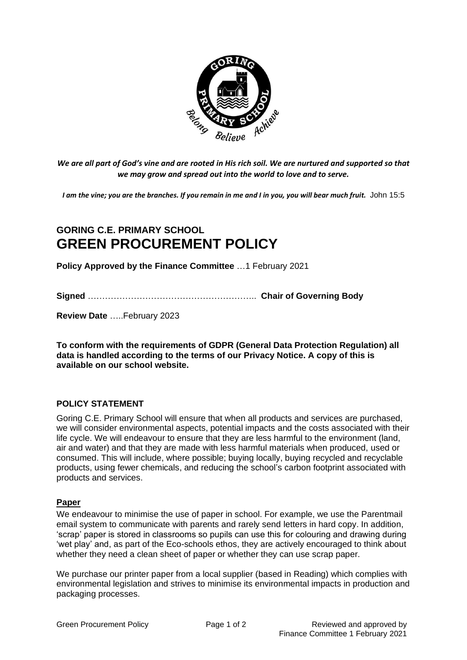

*We are all part of God's vine and are rooted in His rich soil. We are nurtured and supported so that we may grow and spread out into the world to love and to serve.*

*I am the vine; you are the branches. If you remain in me and I in you, you will bear much fruit.* John 15:5

# **GORING C.E. PRIMARY SCHOOL GREEN PROCUREMENT POLICY**

**Policy Approved by the Finance Committee** …1 February 2021

**Signed** ………………………………………………….. **Chair of Governing Body**

**Review Date** …..February 2023

**To conform with the requirements of GDPR (General Data Protection Regulation) all data is handled according to the terms of our Privacy Notice. A copy of this is available on our school website.** 

#### **POLICY STATEMENT**

Goring C.E. Primary School will ensure that when all products and services are purchased, we will consider environmental aspects, potential impacts and the costs associated with their life cycle. We will endeavour to ensure that they are less harmful to the environment (land, air and water) and that they are made with less harmful materials when produced, used or consumed. This will include, where possible; buying locally, buying recycled and recyclable products, using fewer chemicals, and reducing the school's carbon footprint associated with products and services.

### **Paper**

We endeavour to minimise the use of paper in school. For example, we use the Parentmail email system to communicate with parents and rarely send letters in hard copy. In addition, 'scrap' paper is stored in classrooms so pupils can use this for colouring and drawing during 'wet play' and, as part of the Eco-schools ethos, they are actively encouraged to think about whether they need a clean sheet of paper or whether they can use scrap paper.

We purchase our printer paper from a local supplier (based in Reading) which complies with environmental legislation and strives to minimise its environmental impacts in production and packaging processes.